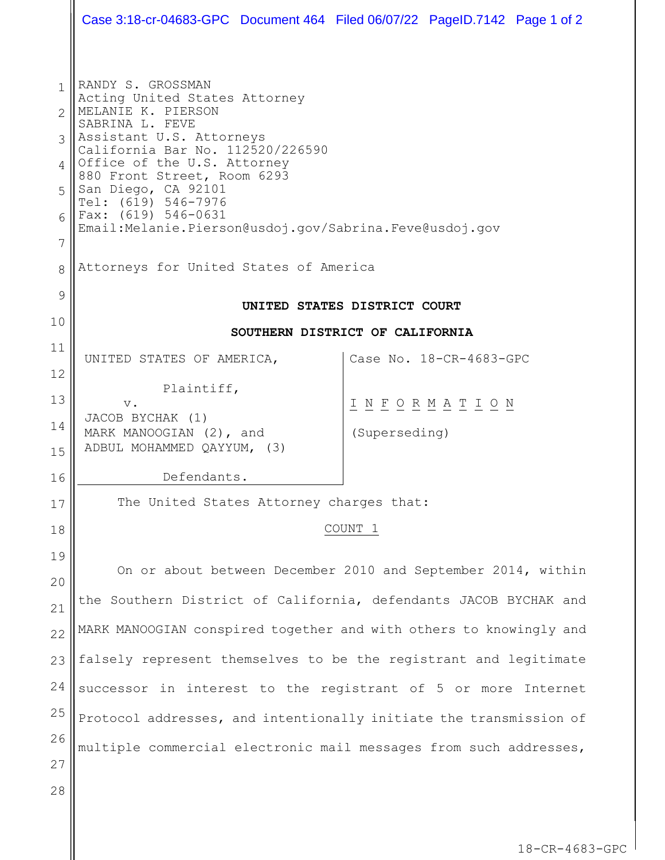|                                                              | Case 3:18-cr-04683-GPC Document 464 Filed 06/07/22 PageID.7142 Page 1 of 2                                                                                                                                                                                                                                                                                                                         |  |                                     |                         |  |  |
|--------------------------------------------------------------|----------------------------------------------------------------------------------------------------------------------------------------------------------------------------------------------------------------------------------------------------------------------------------------------------------------------------------------------------------------------------------------------------|--|-------------------------------------|-------------------------|--|--|
| 1<br>$\mathcal{P}$<br>$\mathcal{S}$<br>4<br>5<br>6<br>7<br>8 | RANDY S. GROSSMAN<br>Acting United States Attorney<br>MELANIE K. PIERSON<br>SABRINA L. FEVE<br>Assistant U.S. Attorneys<br>California Bar No. 112520/226590<br>Office of the U.S. Attorney<br>880 Front Street, Room 6293<br>San Diego, CA 92101<br>Tel: (619) 546-7976<br>Fax: (619) 546-0631<br>Email:Melanie.Pierson@usdoj.gov/Sabrina.Feve@usdoj.gov<br>Attorneys for United States of America |  |                                     |                         |  |  |
| 9                                                            |                                                                                                                                                                                                                                                                                                                                                                                                    |  |                                     |                         |  |  |
| 10                                                           | UNITED STATES DISTRICT COURT                                                                                                                                                                                                                                                                                                                                                                       |  |                                     |                         |  |  |
| 11                                                           | SOUTHERN DISTRICT OF CALIFORNIA                                                                                                                                                                                                                                                                                                                                                                    |  |                                     |                         |  |  |
| 12                                                           | UNITED STATES OF AMERICA,                                                                                                                                                                                                                                                                                                                                                                          |  |                                     | Case No. 18-CR-4683-GPC |  |  |
| 13                                                           | Plaintiff,                                                                                                                                                                                                                                                                                                                                                                                         |  |                                     |                         |  |  |
| 14                                                           | $\mathbf v$ .<br>JACOB BYCHAK (1)                                                                                                                                                                                                                                                                                                                                                                  |  | <u>INFORMATION</u><br>(Superseding) |                         |  |  |
| 15                                                           | MARK MANOOGIAN (2), and<br>ADBUL MOHAMMED QAYYUM, (3)                                                                                                                                                                                                                                                                                                                                              |  |                                     |                         |  |  |
| 16                                                           | Defendants.                                                                                                                                                                                                                                                                                                                                                                                        |  |                                     |                         |  |  |
| 17                                                           | The United States Attorney charges that:                                                                                                                                                                                                                                                                                                                                                           |  |                                     |                         |  |  |
| 18                                                           | COUNT 1                                                                                                                                                                                                                                                                                                                                                                                            |  |                                     |                         |  |  |
| 19                                                           |                                                                                                                                                                                                                                                                                                                                                                                                    |  |                                     |                         |  |  |
| 20                                                           | On or about between December 2010 and September 2014, within                                                                                                                                                                                                                                                                                                                                       |  |                                     |                         |  |  |
| 21                                                           | the Southern District of California, defendants JACOB BYCHAK and                                                                                                                                                                                                                                                                                                                                   |  |                                     |                         |  |  |
| 22                                                           | MARK MANOOGIAN conspired together and with others to knowingly and                                                                                                                                                                                                                                                                                                                                 |  |                                     |                         |  |  |
| 23                                                           | falsely represent themselves to be the registrant and legitimate                                                                                                                                                                                                                                                                                                                                   |  |                                     |                         |  |  |
| 24                                                           | successor in interest to the registrant of 5 or more Internet                                                                                                                                                                                                                                                                                                                                      |  |                                     |                         |  |  |
| 25                                                           | Protocol addresses, and intentionally initiate the transmission of                                                                                                                                                                                                                                                                                                                                 |  |                                     |                         |  |  |
| 26                                                           | multiple commercial electronic mail messages from such addresses,                                                                                                                                                                                                                                                                                                                                  |  |                                     |                         |  |  |
| 27                                                           |                                                                                                                                                                                                                                                                                                                                                                                                    |  |                                     |                         |  |  |
| 28                                                           |                                                                                                                                                                                                                                                                                                                                                                                                    |  |                                     |                         |  |  |